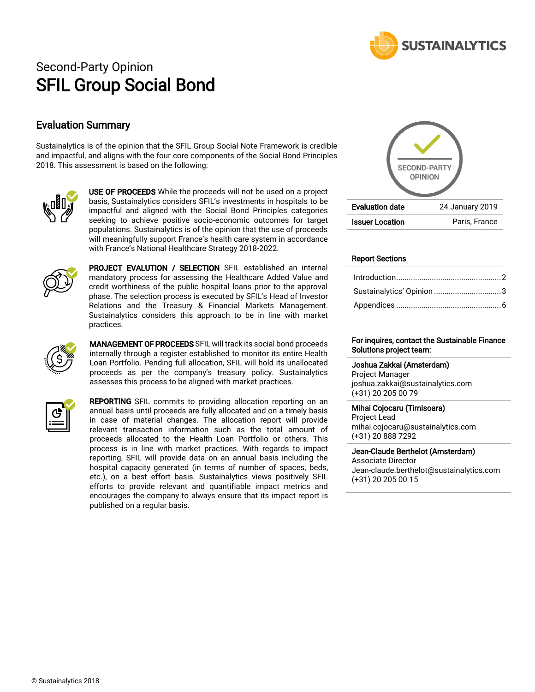

# Second-Party Opinion SFIL Group Social Bond

## Evaluation Summary

Sustainalytics is of the opinion that the SFIL Group Social Note Framework is credible and impactful, and aligns with the four core components of the Social Bond Principles 2018. This assessment is based on the following:



USE OF PROCEEDS While the proceeds will not be used on a project basis, Sustainalytics considers SFIL's investments in hospitals to be impactful and aligned with the Social Bond Principles categories seeking to achieve positive socio-economic outcomes for target populations. Sustainalytics is of the opinion that the use of proceeds will meaningfully support France's health care system in accordance with France's National Healthcare Strategy 2018-2022.



PROJECT EVALUTION / SELECTION SFIL established an internal mandatory process for assessing the Healthcare Added Value and credit worthiness of the public hospital loans prior to the approval phase. The selection process is executed by SFIL's Head of Investor Relations and the Treasury & Financial Markets Management. Sustainalytics considers this approach to be in line with market practices.



**MANAGEMENT OF PROCEEDS** SFIL will track its social bond proceeds internally through a register established to monitor its entire Health Loan Portfolio. Pending full allocation, SFIL will hold its unallocated proceeds as per the company's treasury policy. Sustainalytics assesses this process to be aligned with market practices.



**REPORTING** SFIL commits to providing allocation reporting on an annual basis until proceeds are fully allocated and on a timely basis in case of material changes. The allocation report will provide relevant transaction information such as the total amount of proceeds allocated to the Health Loan Portfolio or others. This process is in line with market practices. With regards to impact reporting, SFIL will provide data on an annual basis including the hospital capacity generated (in terms of number of spaces, beds, etc.), on a best effort basis. Sustainalytics views positively SFIL efforts to provide relevant and quantifiable impact metrics and encourages the company to always ensure that its impact report is published on a regular basis.



#### Report Sections

| Sustainalytics' Opinion 3 |  |
|---------------------------|--|
|                           |  |

#### For inquires, contact the Sustainable Finance Solutions project team:

Joshua Zakkai (Amsterdam) Project Manager joshua.zakkai@sustainalytics.com (+31) 20 205 00 79

#### Mihai Cojocaru (Timisoara)

Project Lead mihai.cojocaru@sustainalytics.com (+31) 20 888 7292

#### Jean-Claude Berthelot (Amsterdam) Associate Director

Jean-claude.berthelot@sustainalytics.com (+31) 20 205 00 15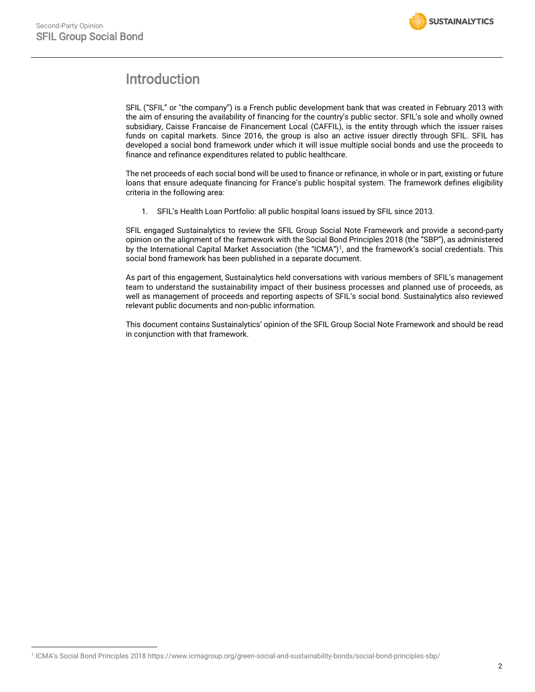# <span id="page-1-0"></span>Introduction

SFIL ("SFIL" or "the company") is a French public development bank that was created in February 2013 with the aim of ensuring the availability of financing for the country's public sector. SFIL's sole and wholly owned subsidiary, Caisse Francaise de Financement Local (CAFFIL), is the entity through which the issuer raises funds on capital markets. Since 2016, the group is also an active issuer directly through SFIL. SFIL has developed a social bond framework under which it will issue multiple social bonds and use the proceeds to finance and refinance expenditures related to public healthcare.

The net proceeds of each social bond will be used to finance or refinance, in whole or in part, existing or future loans that ensure adequate financing for France's public hospital system. The framework defines eligibility criteria in the following area:

1. SFIL's Health Loan Portfolio: all public hospital loans issued by SFIL since 2013.

SFIL engaged Sustainalytics to review the SFIL Group Social Note Framework and provide a second-party opinion on the alignment of the framework with the Social Bond Principles 2018 (the "SBP"), as administered by the International Capital Market Association (the "ICMA")<sup>1</sup>, and the framework's social credentials. This social bond framework has been published in a separate document.

As part of this engagement, Sustainalytics held conversations with various members of SFIL's management team to understand the sustainability impact of their business processes and planned use of proceeds, as well as management of proceeds and reporting aspects of SFIL's social bond. Sustainalytics also reviewed relevant public documents and non-public information.

This document contains Sustainalytics' opinion of the SFIL Group Social Note Framework and should be read in conjunction with that framework.

 $\overline{a}$ 1 ICMA's Social Bond Principles 2018 https://www.icmagroup.org/green-social-and-sustainability-bonds/social-bond-principles-sbp/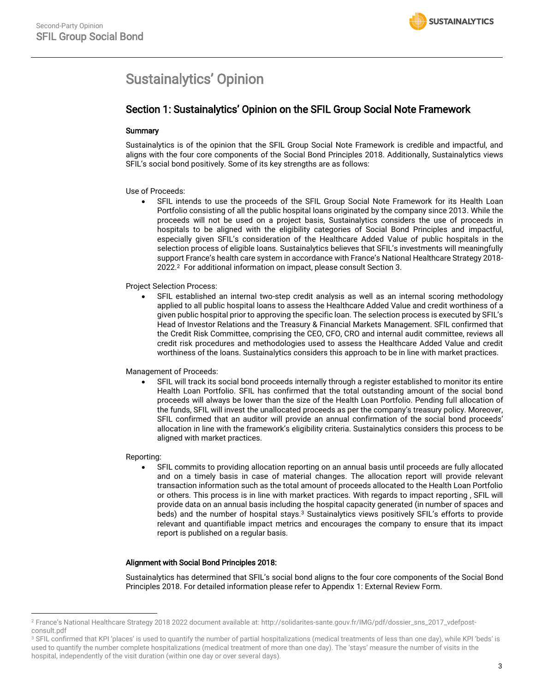# <span id="page-2-0"></span>Sustainalytics' Opinion

## Section 1: Sustainalytics' Opinion on the SFIL Group Social Note Framework

#### **Summary**

Sustainalytics is of the opinion that the SFIL Group Social Note Framework is credible and impactful, and aligns with the four core components of the Social Bond Principles 2018. Additionally, Sustainalytics views SFIL's social bond positively. Some of its key strengths are as follows:

#### Use of Proceeds:

• SFIL intends to use the proceeds of the SFIL Group Social Note Framework for its Health Loan Portfolio consisting of all the public hospital loans originated by the company since 2013. While the proceeds will not be used on a project basis, Sustainalytics considers the use of proceeds in hospitals to be aligned with the eligibility categories of Social Bond Principles and impactful, especially given SFIL's consideration of the Healthcare Added Value of public hospitals in the selection process of eligible loans. Sustainalytics believes that SFIL's investments will meaningfully support France's health care system in accordance with France's National Healthcare Strategy 2018- 2022. <sup>2</sup> For additional information on impact, please consult Section 3.

#### Project Selection Process:

• SFIL established an internal two-step credit analysis as well as an internal scoring methodology applied to all public hospital loans to assess the Healthcare Added Value and credit worthiness of a given public hospital prior to approving the specific loan. The selection process is executed by SFIL's Head of Investor Relations and the Treasury & Financial Markets Management. SFIL confirmed that the Credit Risk Committee, comprising the CEO, CFO, CRO and internal audit committee, reviews all credit risk procedures and methodologies used to assess the Healthcare Added Value and credit worthiness of the loans. Sustainalytics considers this approach to be in line with market practices.

#### Management of Proceeds:

• SFIL will track its social bond proceeds internally through a register established to monitor its entire Health Loan Portfolio. SFIL has confirmed that the total outstanding amount of the social bond proceeds will always be lower than the size of the Health Loan Portfolio. Pending full allocation of the funds, SFIL will invest the unallocated proceeds as per the company's treasury policy. Moreover, SFIL confirmed that an auditor will provide an annual confirmation of the social bond proceeds' allocation in line with the framework's eligibility criteria. Sustainalytics considers this process to be aligned with market practices.

#### Reporting:

 $\overline{\phantom{a}}$ 

• SFIL commits to providing allocation reporting on an annual basis until proceeds are fully allocated and on a timely basis in case of material changes. The allocation report will provide relevant transaction information such as the total amount of proceeds allocated to the Health Loan Portfolio or others. This process is in line with market practices. With regards to impact reporting , SFIL will provide data on an annual basis including the hospital capacity generated (in number of spaces and beds) and the number of hospital stays.<sup>3</sup> Sustainalytics views positively SFIL's efforts to provide relevant and quantifiable impact metrics and encourages the company to ensure that its impact report is published on a regular basis.

#### Alignment with Social Bond Principles 2018:

Sustainalytics has determined that SFIL's social bond aligns to the four core components of the Social Bond Principles 2018. For detailed information please refer to Appendix 1: External Review Form.

<sup>2</sup> France's National Healthcare Strategy 2018 2022 document available at: [http://solidarites-sante.gouv.fr/IMG/pdf/dossier\\_sns\\_2017\\_vdefpost](http://solidarites-sante.gouv.fr/IMG/pdf/dossier_sns_2017_vdefpost-consult.pdf)[consult.pdf](http://solidarites-sante.gouv.fr/IMG/pdf/dossier_sns_2017_vdefpost-consult.pdf)

<sup>&</sup>lt;sup>3</sup> SFIL confirmed that KPI 'places' is used to quantify the number of partial hospitalizations (medical treatments of less than one day), while KPI 'beds' is used to quantify the number complete hospitalizations (medical treatment of more than one day). The 'stays' measure the number of visits in the hospital, independently of the visit duration (within one day or over several days).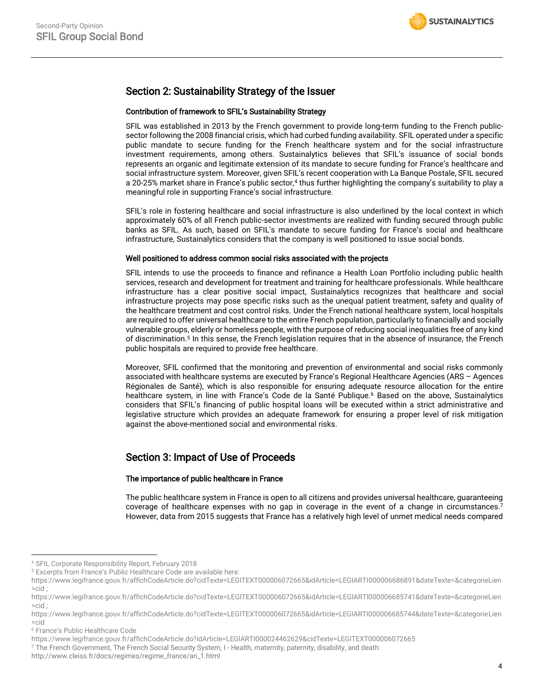## Section 2: Sustainability Strategy of the Issuer

#### Contribution of framework to SFIL's Sustainability Strategy

SFIL was established in 2013 by the French government to provide long-term funding to the French publicsector following the 2008 financial crisis, which had curbed funding availability. SFIL operated under a specific public mandate to secure funding for the French healthcare system and for the social infrastructure investment requirements, among others. Sustainalytics believes that SFIL's issuance of social bonds represents an organic and legitimate extension of its mandate to secure funding for France's healthcare and social infrastructure system. Moreover, given SFIL's recent cooperation with La Banque Postale, SFIL secured a 20-25% market share in France's public sector, <sup>4</sup> thus further highlighting the company's suitability to play a meaningful role in supporting France's social infrastructure.

SFIL's role in fostering healthcare and social infrastructure is also underlined by the local context in which approximately 60% of all French public-sector investments are realized with funding secured through public banks as SFIL. As such, based on SFIL's mandate to secure funding for France's social and healthcare infrastructure, Sustainalytics considers that the company is well positioned to issue social bonds.

#### Well positioned to address common social risks associated with the projects

SFIL intends to use the proceeds to finance and refinance a Health Loan Portfolio including public health services, research and development for treatment and training for healthcare professionals. While healthcare infrastructure has a clear positive social impact, Sustainalytics recognizes that healthcare and social infrastructure projects may pose specific risks such as the unequal patient treatment, safety and quality of the healthcare treatment and cost control risks. Under the French national healthcare system, local hospitals are required to offer universal healthcare to the entire French population, particularly to financially and socially vulnerable groups, elderly or homeless people, with the purpose of reducing social inequalities free of any kind of discrimination.<sup>5</sup> In this sense, the French legislation requires that in the absence of insurance, the French public hospitals are required to provide free healthcare.

Moreover, SFIL confirmed that the monitoring and prevention of environmental and social risks commonly associated with healthcare systems are executed by France's Regional Healthcare Agencies (ARS – Agences Régionales de Santé), which is also responsible for ensuring adequate resource allocation for the entire healthcare system, in line with France's Code de la Santé Publique.<sup>6</sup> Based on the above, Sustainalytics considers that SFIL's financing of public hospital loans will be executed within a strict administrative and legislative structure which provides an adequate framework for ensuring a proper level of risk mitigation against the above-mentioned social and environmental risks.

# Section 3: Impact of Use of Proceeds

#### The importance of public healthcare in France

The public healthcare system in France is open to all citizens and provides universal healthcare, guaranteeing coverage of healthcare expenses with no gap in coverage in the event of a change in circumstances. 7 However, data from 2015 suggests that France has a relatively high level of unmet medical needs compared

 $\overline{\phantom{a}}$ 

<sup>4</sup> SFIL Corporate Responsibility Report, February 2018

<sup>5</sup> Excerpts from France's Public Healthcare Code are available here:

[https://www.legifrance.gouv.fr/affichCodeArticle.do?cidTexte=LEGITEXT000006072665&idArticle=LEGIARTI000006686891&dateTexte=&categorieLien](https://www.legifrance.gouv.fr/affichCodeArticle.do?cidTexte=LEGITEXT000006072665&idArticle=LEGIARTI000006686891&dateTexte=&categorieLien=cid)  $=$ cid :

[https://www.legifrance.gouv.fr/affichCodeArticle.do?cidTexte=LEGITEXT000006072665&idArticle=LEGIARTI000006685741&dateTexte=&categorieLien](https://www.legifrance.gouv.fr/affichCodeArticle.do?cidTexte=LEGITEXT000006072665&idArticle=LEGIARTI000006685741&dateTexte=&categorieLien=cid)  $=$ cid :

[https://www.legifrance.gouv.fr/affichCodeArticle.do?cidTexte=LEGITEXT000006072665&idArticle=LEGIARTI000006685744&dateTexte=&categorieLien](https://www.legifrance.gouv.fr/affichCodeArticle.do?cidTexte=LEGITEXT000006072665&idArticle=LEGIARTI000006685744&dateTexte=&categorieLien=cid)  $=$ cid

<sup>6</sup> France's Public Healthcare Code

<https://www.legifrance.gouv.fr/affichCodeArticle.do?idArticle=LEGIARTI000024462629&cidTexte=LEGITEXT000006072665>

<sup>7</sup> The French Government, The French Social Security System, I - Health, maternity, paternity, disability, and death:

http://www.cleiss.fr/docs/regimes/regime\_france/an\_1.html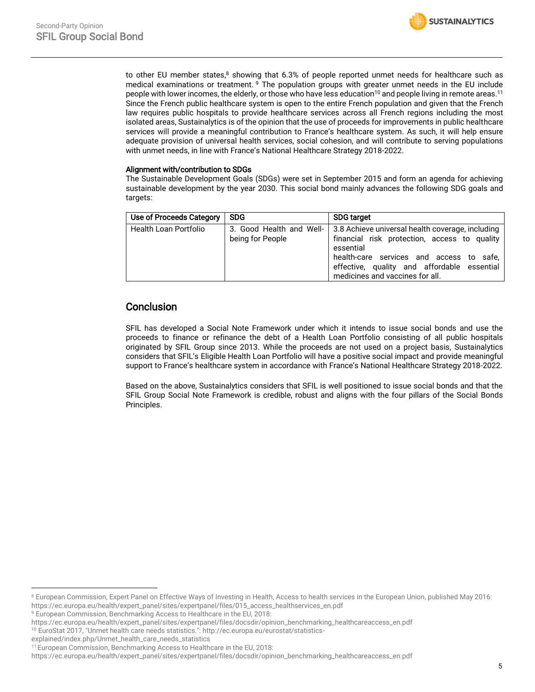to other EU member states, <sup>8</sup> showing that 6.3% of people reported unmet needs for healthcare such as medical examinations or treatment. <sup>9</sup> The population groups with greater unmet needs in the EU include people with lower incomes, the elderly, or those who have less education<sup>10</sup> and people living in remote areas.<sup>11</sup> Since the French public healthcare system is open to the entire French population and given that the French law requires public hospitals to provide healthcare services across all French regions including the most isolated areas, Sustainalytics is of the opinion that the use of proceeds for improvements in public healthcare services will provide a meaningful contribution to France's healthcare system. As such, it will help ensure adequate provision of universal health services, social cohesion, and will contribute to serving populations with unmet needs, in line with France's National Healthcare Strategy 2018-2022.

#### Alignment with/contribution to SDGs

The Sustainable Development Goals (SDGs) were set in September 2015 and form an agenda for achieving sustainable development by the year 2030. This social bond mainly advances the following SDG goals and targets:

| Use of Proceeds Category | <b>SDG</b>                                   | <b>SDG target</b>                                                                                                                                                                                                                           |
|--------------------------|----------------------------------------------|---------------------------------------------------------------------------------------------------------------------------------------------------------------------------------------------------------------------------------------------|
| Health Loan Portfolio    | 3. Good Health and Well-<br>being for People | 3.8 Achieve universal health coverage, including<br>financial risk protection, access to quality<br>essential<br>health-care services and access to safe,<br>effective, quality and affordable essential<br>medicines and vaccines for all. |

# **Conclusion**

SFIL has developed a Social Note Framework under which it intends to issue social bonds and use the proceeds to finance or refinance the debt of a Health Loan Portfolio consisting of all public hospitals originated by SFIL Group since 2013. While the proceeds are not used on a project basis, Sustainalytics considers that SFIL's Eligible Health Loan Portfolio will have a positive social impact and provide meaningful support to France's healthcare system in accordance with France's National Healthcare Strategy 2018-2022.

Based on the above, Sustainalytics considers that SFIL is well positioned to issue social bonds and that the SFIL Group Social Note Framework is credible, robust and aligns with the four pillars of the Social Bonds Principles.

<sup>10</sup> EuroStat 2017, "Unmet health care needs statistics.": http://ec.europa.eu/eurostat/statistics-

explained/index.php/Unmet\_health\_care\_needs\_statistics

 $\overline{\phantom{a}}$ 

<sup>&</sup>lt;sup>8</sup> European Commission, Expert Panel on Effective Ways of Investing in Health, Access to health services in the European Union, published May 2016: https://ec.europa.eu/health/expert\_panel/sites/expertpanel/files/015\_access\_healthservices\_en.pdf

<sup>&</sup>lt;sup>9</sup> European Commission, Benchmarking Access to Healthcare in the EU, 2018:

https://ec.europa.eu/health/expert\_panel/sites/expertpanel/files/docsdir/opinion\_benchmarking\_healthcareaccess\_en.pdf

<sup>&</sup>lt;sup>11</sup> European Commission, Benchmarking Access to Healthcare in the EU, 2018:

https://ec.europa.eu/health/expert\_panel/sites/expertpanel/files/docsdir/opinion\_benchmarking\_healthcareaccess\_en.pdf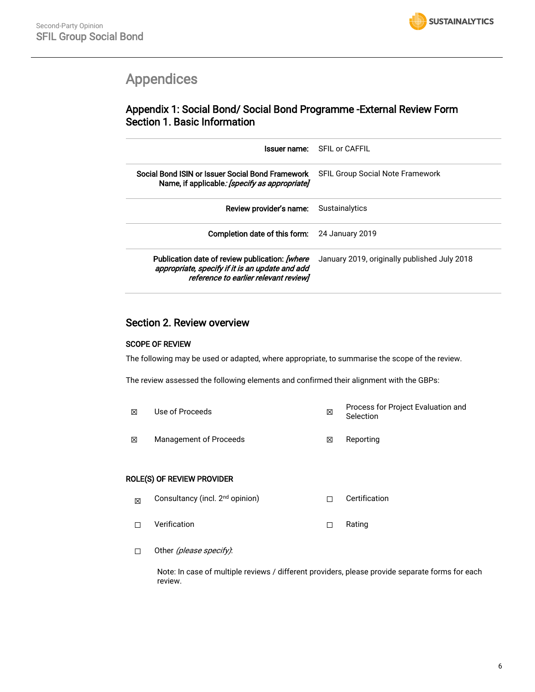# <span id="page-5-0"></span>Appendices

# Appendix 1: Social Bond/ Social Bond Programme -External Review Form Section 1. Basic Information

| Issuer name:                                                                                                                               | SEIL or CAFFIL                               |
|--------------------------------------------------------------------------------------------------------------------------------------------|----------------------------------------------|
| Social Bond ISIN or Issuer Social Bond Framework<br>Name, if applicable: [specify as appropriate]                                          | <b>SFIL Group Social Note Framework</b>      |
| Review provider's name:                                                                                                                    | Sustainalytics                               |
| Completion date of this form:                                                                                                              | 24 January 2019                              |
| Publication date of review publication: [where<br>appropriate, specify if it is an update and add<br>reference to earlier relevant review] | January 2019, originally published July 2018 |

## Section 2. Review overview

### SCOPE OF REVIEW

The following may be used or adapted, where appropriate, to summarise the scope of the review.

The review assessed the following elements and confirmed their alignment with the GBPs:

| ⊠ | Use of Proceeds        | ⊠ | Process for Project Evaluation and<br>Selection |
|---|------------------------|---|-------------------------------------------------|
| 冈 | Management of Proceeds | ⊠ | Reportina                                       |

#### ROLE(S) OF REVIEW PROVIDER

- $\boxtimes$  Consultancy (incl. 2<sup>nd</sup> opinion)  $\Box$  Certification ☐ Verification ☐ Rating
- □ Other *(please specify)*:

Note: In case of multiple reviews / different providers, please provide separate forms for each review.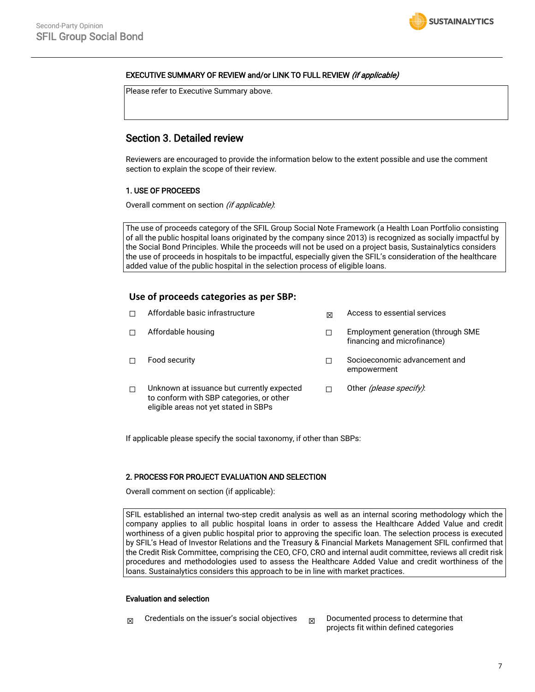#### EXECUTIVE SUMMARY OF REVIEW and/or LINK TO FULL REVIEW *(if applicable)*

Please refer to Executive Summary above.

## Section 3. Detailed review

Reviewers are encouraged to provide the information below to the extent possible and use the comment section to explain the scope of their review.

#### 1. USE OF PROCEEDS

Overall comment on section *(if applicable)*:

The use of proceeds category of the SFIL Group Social Note Framework (a Health Loan Portfolio consisting of all the public hospital loans originated by the company since 2013) is recognized as socially impactful by the Social Bond Principles. While the proceeds will not be used on a project basis, Sustainalytics considers the use of proceeds in hospitals to be impactful, especially given the SFIL's consideration of the healthcare added value of the public hospital in the selection process of eligible loans.

#### **Use of proceeds categories as per SBP:**

|   | Affordable basic infrastructure                                                                                                 | 冈 | Access to essential services                                      |
|---|---------------------------------------------------------------------------------------------------------------------------------|---|-------------------------------------------------------------------|
|   | Affordable housing                                                                                                              |   | Employment generation (through SME<br>financing and microfinance) |
|   | Food security                                                                                                                   |   | Socioeconomic advancement and<br>empowerment                      |
| П | Unknown at issuance but currently expected<br>to conform with SBP categories, or other<br>eligible areas not yet stated in SBPs |   | Other <i>(please specify)</i> :                                   |

If applicable please specify the social taxonomy, if other than SBPs:

#### 2. PROCESS FOR PROJECT EVALUATION AND SELECTION

Overall comment on section (if applicable):

SFIL established an internal two-step credit analysis as well as an internal scoring methodology which the company applies to all public hospital loans in order to assess the Healthcare Added Value and credit worthiness of a given public hospital prior to approving the specific loan. The selection process is executed by SFIL's Head of Investor Relations and the Treasury & Financial Markets Management SFIL confirmed that the Credit Risk Committee, comprising the CEO, CFO, CRO and internal audit committee, reviews all credit risk procedures and methodologies used to assess the Healthcare Added Value and credit worthiness of the loans. Sustainalytics considers this approach to be in line with market practices.

#### Evaluation and selection

- $\boxtimes$  Credentials on the issuer's social objectives  $\boxtimes$  Documented process to determine that
	- projects fit within defined categories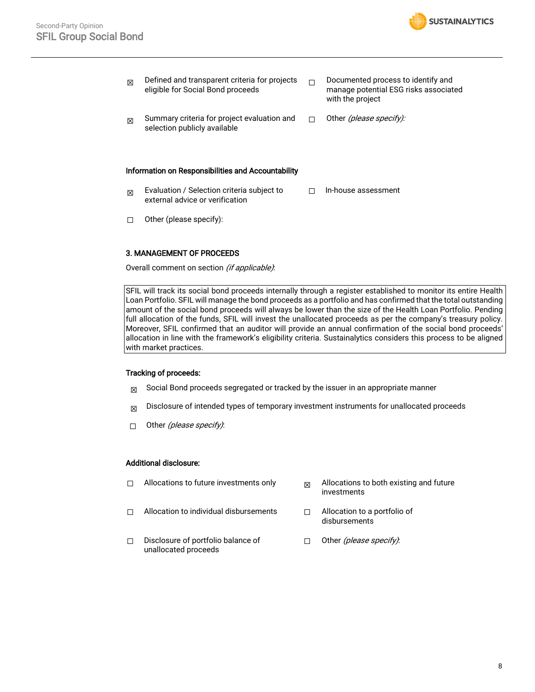

|                                                                                                                    | manage potential ESG risks associated |
|--------------------------------------------------------------------------------------------------------------------|---------------------------------------|
| Summary criteria for project evaluation and<br>Other <i>(please specify):</i><br>⊠<br>selection publicly available |                                       |

#### Information on Responsibilities and Accountability

- $\boxtimes$  Evaluation / Selection criteria subject to external advice or verification ☐ In-house assessment
- ☐ Other (please specify):

#### 3. MANAGEMENT OF PROCEEDS

Overall comment on section (if applicable):

SFIL will track its social bond proceeds internally through a register established to monitor its entire Health Loan Portfolio. SFIL will manage the bond proceeds as a portfolio and has confirmed that the total outstanding amount of the social bond proceeds will always be lower than the size of the Health Loan Portfolio. Pending full allocation of the funds, SFIL will invest the unallocated proceeds as per the company's treasury policy. Moreover, SFIL confirmed that an auditor will provide an annual confirmation of the social bond proceeds' allocation in line with the framework's eligibility criteria. Sustainalytics considers this process to be aligned with market practices.

#### Tracking of proceeds:

- $\boxtimes$  Social Bond proceeds segregated or tracked by the issuer in an appropriate manner
- $\boxtimes$  Disclosure of intended types of temporary investment instruments for unallocated proceeds
- □ Other (please specify):

#### Additional disclosure:

- $\Box$  Allocations to future investments only  $\Box$  Allocations to both existing and future investments ☐ Allocation to individual disbursements ☐ Allocation to a portfolio of
	- disbursements
- ☐ Disclosure of portfolio balance of unallocated proceeds □ Other (please specify):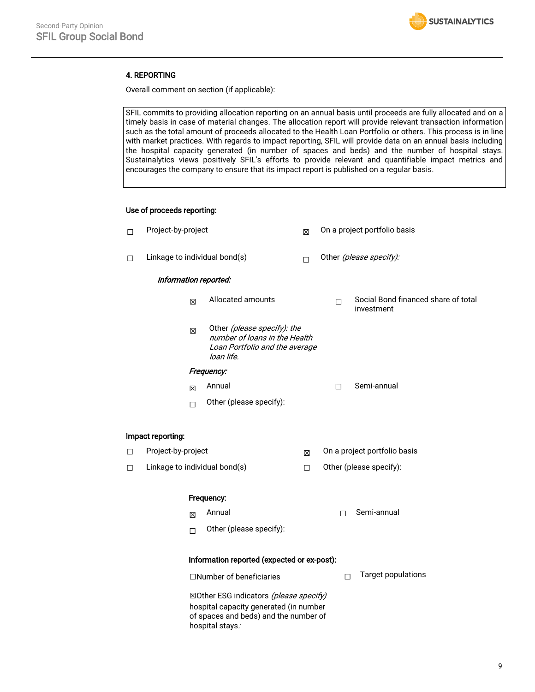

#### 4. REPORTING

Overall comment on section (if applicable):

SFIL commits to providing allocation reporting on an annual basis until proceeds are fully allocated and on a timely basis in case of material changes. The allocation report will provide relevant transaction information such as the total amount of proceeds allocated to the Health Loan Portfolio or others. This process is in line with market practices. With regards to impact reporting, SFIL will provide data on an annual basis including the hospital capacity generated (in number of spaces and beds) and the number of hospital stays. Sustainalytics views positively SFIL's efforts to provide relevant and quantifiable impact metrics and encourages the company to ensure that its impact report is published on a regular basis.

#### Use of proceeds reporting:

| □ | Project-by-project            |        | X                                                                                                            | On a project portfolio basis |                              |                                                   |  |
|---|-------------------------------|--------|--------------------------------------------------------------------------------------------------------------|------------------------------|------------------------------|---------------------------------------------------|--|
| □ | Linkage to individual bond(s) |        | П                                                                                                            | Other (please specify):      |                              |                                                   |  |
|   | Information reported:         |        |                                                                                                              |                              |                              |                                                   |  |
|   |                               | 冈      | Allocated amounts                                                                                            |                              | $\Box$                       | Social Bond financed share of total<br>investment |  |
|   |                               | 区      | Other (please specify): the<br>number of loans in the Health<br>Loan Portfolio and the average<br>loan life. |                              |                              |                                                   |  |
|   | Frequency:                    |        |                                                                                                              |                              |                              |                                                   |  |
|   |                               | 区      | Annual                                                                                                       |                              | П                            | Semi-annual                                       |  |
|   |                               | $\Box$ | Other (please specify):                                                                                      |                              |                              |                                                   |  |
|   | Impact reporting:             |        |                                                                                                              |                              |                              |                                                   |  |
| □ | Project-by-project            |        |                                                                                                              | X                            | On a project portfolio basis |                                                   |  |
| □ |                               |        | Linkage to individual bond(s)                                                                                | □                            |                              | Other (please specify):                           |  |
|   | Frequency:                    |        |                                                                                                              |                              |                              |                                                   |  |
|   |                               | 冈      | Annual                                                                                                       |                              | П                            | Semi-annual                                       |  |
|   |                               | $\Box$ | Other (please specify):                                                                                      |                              |                              |                                                   |  |
|   |                               |        | Information reported (expected or ex-post):                                                                  |                              |                              |                                                   |  |
|   | □Number of beneficiaries      |        |                                                                                                              |                              | П                            | <b>Target populations</b>                         |  |

⊠Other ESG indicators (please specify) hospital capacity generated (in number of spaces and beds) and the number of hospital stays: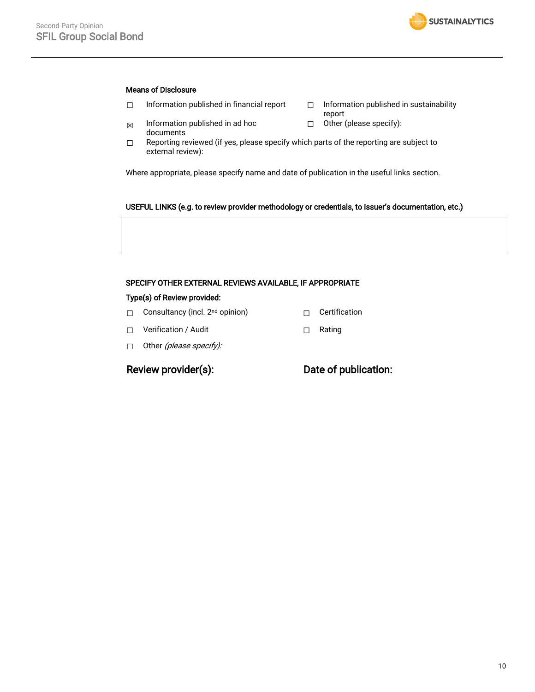#### Means of Disclosure

- ☐ Information published in financial report ☐ Information published in sustainability
- $\boxtimes$  Information published in ad hoc documents
- $\Box$  Reporting reviewed (if yes, please specify which parts of the reporting are subject to external review):

Where appropriate, please specify name and date of publication in the useful links section.

#### USEFUL LINKS (e.g. to review provider methodology or credentials, to issuer's documentation, etc.)

report

☐ Other (please specify):

#### SPECIFY OTHER EXTERNAL REVIEWS AVAILABLE, IF APPROPRIATE

#### Type(s) of Review provided:

- □ Consultancy (incl. 2<sup>nd</sup> opinion) □ □ Certification
- ☐ Verification / Audit ☐ Rating
- □ Other (please specify):

## Review provider(s): Date of publication: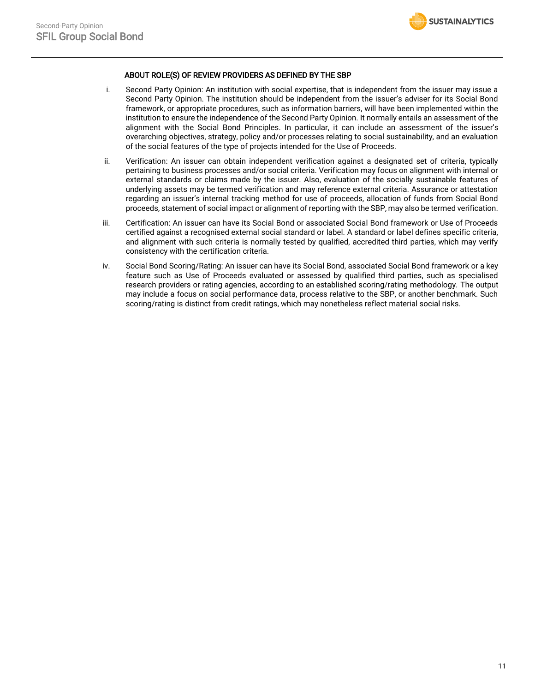

#### ABOUT ROLE(S) OF REVIEW PROVIDERS AS DEFINED BY THE SBP

- i. Second Party Opinion: An institution with social expertise, that is independent from the issuer may issue a Second Party Opinion. The institution should be independent from the issuer's adviser for its Social Bond framework, or appropriate procedures, such as information barriers, will have been implemented within the institution to ensure the independence of the Second Party Opinion. It normally entails an assessment of the alignment with the Social Bond Principles. In particular, it can include an assessment of the issuer's overarching objectives, strategy, policy and/or processes relating to social sustainability, and an evaluation of the social features of the type of projects intended for the Use of Proceeds.
- ii. Verification: An issuer can obtain independent verification against a designated set of criteria, typically pertaining to business processes and/or social criteria. Verification may focus on alignment with internal or external standards or claims made by the issuer. Also, evaluation of the socially sustainable features of underlying assets may be termed verification and may reference external criteria. Assurance or attestation regarding an issuer's internal tracking method for use of proceeds, allocation of funds from Social Bond proceeds, statement of social impact or alignment of reporting with the SBP, may also be termed verification.
- iii. Certification: An issuer can have its Social Bond or associated Social Bond framework or Use of Proceeds certified against a recognised external social standard or label. A standard or label defines specific criteria, and alignment with such criteria is normally tested by qualified, accredited third parties, which may verify consistency with the certification criteria.
- iv. Social Bond Scoring/Rating: An issuer can have its Social Bond, associated Social Bond framework or a key feature such as Use of Proceeds evaluated or assessed by qualified third parties, such as specialised research providers or rating agencies, according to an established scoring/rating methodology. The output may include a focus on social performance data, process relative to the SBP, or another benchmark. Such scoring/rating is distinct from credit ratings, which may nonetheless reflect material social risks.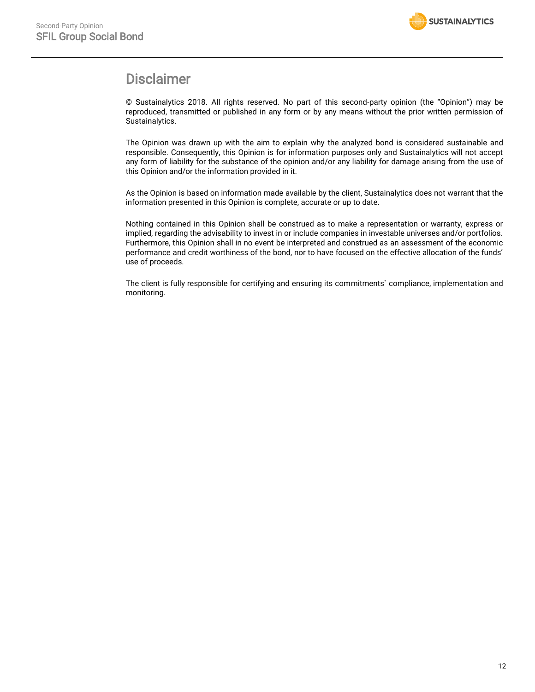

# Disclaimer

© Sustainalytics 2018. All rights reserved. No part of this second-party opinion (the "Opinion") may be reproduced, transmitted or published in any form or by any means without the prior written permission of Sustainalytics.

The Opinion was drawn up with the aim to explain why the analyzed bond is considered sustainable and responsible. Consequently, this Opinion is for information purposes only and Sustainalytics will not accept any form of liability for the substance of the opinion and/or any liability for damage arising from the use of this Opinion and/or the information provided in it.

As the Opinion is based on information made available by the client, Sustainalytics does not warrant that the information presented in this Opinion is complete, accurate or up to date.

Nothing contained in this Opinion shall be construed as to make a representation or warranty, express or implied, regarding the advisability to invest in or include companies in investable universes and/or portfolios. Furthermore, this Opinion shall in no event be interpreted and construed as an assessment of the economic performance and credit worthiness of the bond, nor to have focused on the effective allocation of the funds' use of proceeds.

The client is fully responsible for certifying and ensuring its commitments` compliance, implementation and monitoring.